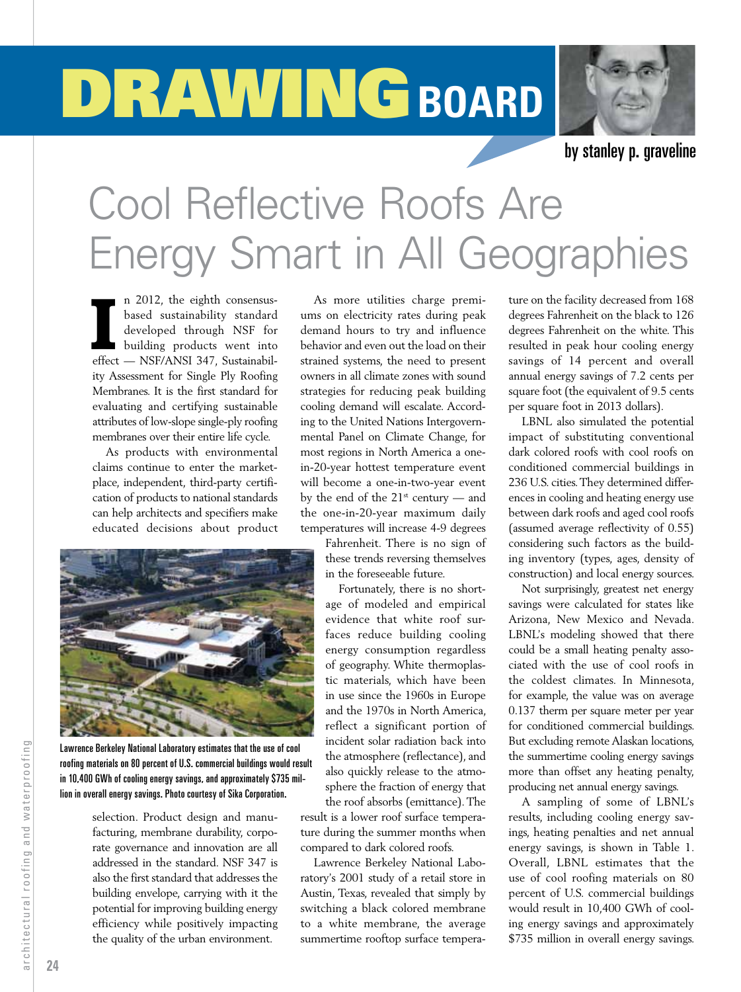## DRAWING BOARD



by stanley p. graveline

## Cool Reflective Roofs Are Energy Smart in All Geographies

II 2012, the eighth consensus-<br>based sustainability standard<br>developed through NSF for<br>building products went into<br>effect — NSF/ANSI 347, Sustainabiln 2012, the eighth consensusbased sustainability standard developed through NSF for building products went into ity Assessment for Single Ply Roofing Membranes. It is the first standard for evaluating and certifying sustainable attributes of low-slope single-ply roofing membranes over their entire life cycle.

As products with environmental claims continue to enter the marketplace, independent, third-party certification of products to national standards can help architects and specifiers make educated decisions about product



Lawrence Berkeley National Laboratory estimates that the use of cool roofing materials on 80 percent of U.S. commercial buildings would result in 10,400 GWh of cooling energy savings, and approximately \$735 million in overall energy savings. Photo courtesy of Sika Corporation.

selection. Product design and manufacturing, membrane durability, corporate governance and innovation are all addressed in the standard. NSF 347 is also the first standard that addresses the building envelope, carrying with it the potential for improving building energy efficiency while positively impacting the quality of the urban environment.

As more utilities charge premiums on electricity rates during peak demand hours to try and influence behavior and even out the load on their strained systems, the need to present owners in all climate zones with sound strategies for reducing peak building cooling demand will escalate. According to the United Nations Intergovernmental Panel on Climate Change, for most regions in North America a onein-20-year hottest temperature event will become a one-in-two-year event by the end of the  $21^{st}$  century — and the one-in-20-year maximum daily temperatures will increase 4-9 degrees

Fahrenheit. There is no sign of these trends reversing themselves in the foreseeable future.

Fortunately, there is no shortage of modeled and empirical evidence that white roof surfaces reduce building cooling energy consumption regardless of geography. White thermoplastic materials, which have been in use since the 1960s in Europe and the 1970s in North America, reflect a significant portion of incident solar radiation back into the atmosphere (reflectance), and also quickly release to the atmosphere the fraction of energy that the roof absorbs (emittance). The

result is a lower roof surface temperature during the summer months when compared to dark colored roofs.

Lawrence Berkeley National Laboratory's 2001 study of a retail store in Austin, Texas, revealed that simply by switching a black colored membrane to a white membrane, the average summertime rooftop surface temperature on the facility decreased from 168 degrees Fahrenheit on the black to 126 degrees Fahrenheit on the white. This resulted in peak hour cooling energy savings of 14 percent and overall annual energy savings of 7.2 cents per square foot (the equivalent of 9.5 cents per square foot in 2013 dollars).

LBNL also simulated the potential impact of substituting conventional dark colored roofs with cool roofs on conditioned commercial buildings in 236 U.S. cities. They determined differences in cooling and heating energy use between dark roofs and aged cool roofs (assumed average reflectivity of 0.55) considering such factors as the building inventory (types, ages, density of construction) and local energy sources.

Not surprisingly, greatest net energy savings were calculated for states like Arizona, New Mexico and Nevada. LBNL's modeling showed that there could be a small heating penalty associated with the use of cool roofs in the coldest climates. In Minnesota, for example, the value was on average 0.137 therm per square meter per year for conditioned commercial buildings. But excluding remote Alaskan locations, the summertime cooling energy savings more than offset any heating penalty, producing net annual energy savings.

A sampling of some of LBNL's results, including cooling energy savings, heating penalties and net annual energy savings, is shown in Table 1. Overall, LBNL estimates that the use of cool roofing materials on 80 percent of U.S. commercial buildings would result in 10,400 GWh of cooling energy savings and approximately \$735 million in overall energy savings.